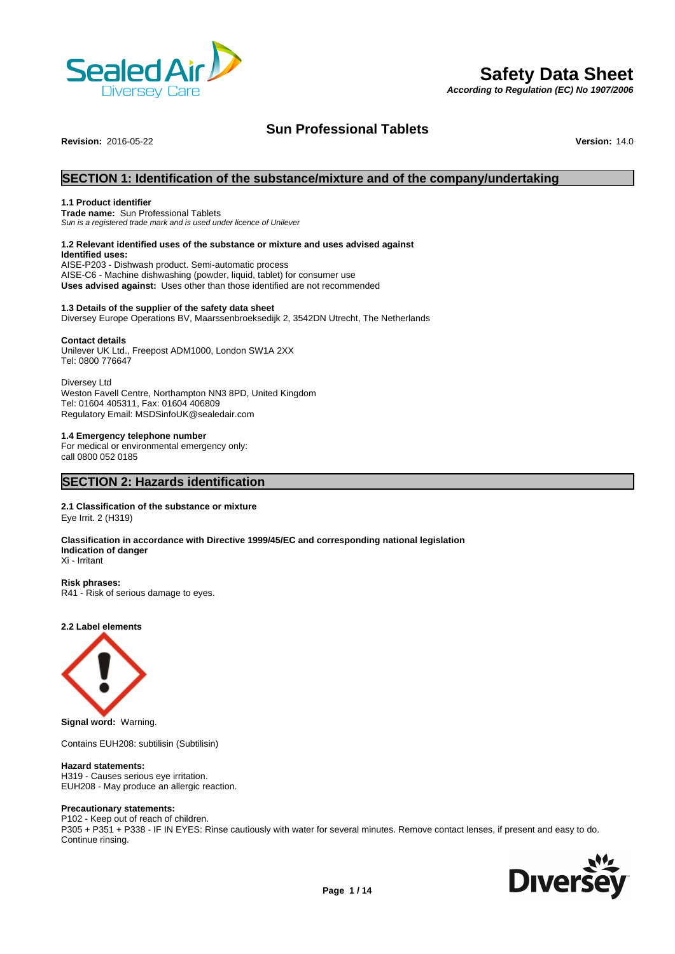

# **Safety Data Sheet**

*According to Regulation (EC) No 1907/2006*

# **Sun Professional Tablets**

**Revision:** 2016-05-22 **Version:** 14.0

# **SECTION 1: Identification of the substance/mixture and of the company/undertaking**

### **1.1 Product identifier**

**Trade name:** Sun Professional Tablets *Sun is a registered trade mark and is used under licence of Unilever*

### **1.2 Relevant identified uses of the substance or mixture and uses advised against**

**Identified uses:** AISE-P203 - Dishwash product. Semi-automatic process AISE-C6 - Machine dishwashing (powder, liquid, tablet) for consumer use **Uses advised against:** Uses other than those identified are not recommended

### **1.3 Details of the supplier of the safety data sheet**

Diversey Europe Operations BV, Maarssenbroeksedijk 2, 3542DN Utrecht, The Netherlands

### **Contact details**

Unilever UK Ltd., Freepost ADM1000, London SW1A 2XX Tel: 0800 776647

Diversey Ltd

Weston Favell Centre, Northampton NN3 8PD, United Kingdom Tel: 01604 405311, Fax: 01604 406809 Regulatory Email: MSDSinfoUK@sealedair.com

### **1.4 Emergency telephone number**

For medical or environmental emergency only: call 0800 052 0185

# **SECTION 2: Hazards identification**

### **2.1 Classification of the substance or mixture** Eye Irrit. 2 (H319)

**Classification in accordance with Directive 1999/45/EC and corresponding national legislation Indication of danger** Xi - Irritant

**Risk phrases:** R41 - Risk of serious damage to eyes.

**2.2 Label elements**



**Signal word:** Warning.

Contains EUH208: subtilisin (Subtilisin)

### **Hazard statements:**

H319 - Causes serious eye irritation. EUH208 - May produce an allergic reaction.

### **Precautionary statements:**

P102 - Keep out of reach of children. P305 + P351 + P338 - IF IN EYES: Rinse cautiously with water for several minutes. Remove contact lenses, if present and easy to do. Continue rinsing.

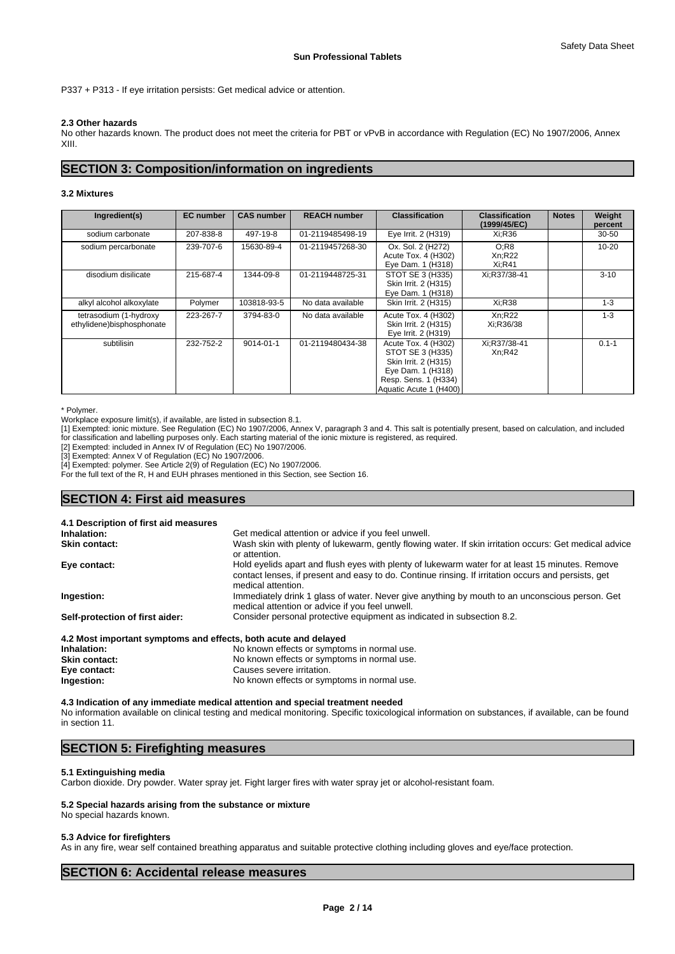P337 + P313 - If eye irritation persists: Get medical advice or attention.

### **2.3 Other hazards**

No other hazards known. The product does not meet the criteria for PBT or vPvB in accordance with Regulation (EC) No 1907/2006, Annex XIII.

# **SECTION 3: Composition/information on ingredients**

### **3.2 Mixtures**

| Ingredient(s)                                       | <b>EC</b> number | <b>CAS number</b> | <b>REACH number</b> | <b>Classification</b>                                                                                                                  | <b>Classification</b><br>(1999/45/EC) | <b>Notes</b> | Weight<br>percent |
|-----------------------------------------------------|------------------|-------------------|---------------------|----------------------------------------------------------------------------------------------------------------------------------------|---------------------------------------|--------------|-------------------|
| sodium carbonate                                    | 207-838-8        | 497-19-8          | 01-2119485498-19    | Eye Irrit. 2 (H319)                                                                                                                    | Xi:R36                                |              | 30-50             |
| sodium percarbonate                                 | 239-707-6        | 15630-89-4        | 01-2119457268-30    | Ox. Sol. 2 (H272)<br>Acute Tox. 4 (H302)<br>Eye Dam. 1 (H318)                                                                          | O;R8<br>Xn;R22<br>Xi:R41              |              | $10 - 20$         |
| disodium disilicate                                 | 215-687-4        | 1344-09-8         | 01-2119448725-31    | STOT SE 3 (H335)<br>Skin Irrit. 2 (H315)<br>Eye Dam. 1 (H318)                                                                          | Xi:R37/38-41                          |              | $3 - 10$          |
| alkyl alcohol alkoxylate                            | Polymer          | 103818-93-5       | No data available   | Skin Irrit. 2 (H315)                                                                                                                   | Xi:R38                                |              | $1 - 3$           |
| tetrasodium (1-hydroxy<br>ethylidene)bisphosphonate | 223-267-7        | 3794-83-0         | No data available   | Acute Tox. 4 (H302)<br>Skin Irrit. 2 (H315)<br>Eye Irrit. 2 (H319)                                                                     | Xn:R22<br>Xi:R36/38                   |              | $1 - 3$           |
| subtilisin                                          | 232-752-2        | $9014 - 01 - 1$   | 01-2119480434-38    | Acute Tox. 4 (H302)<br>STOT SE 3 (H335)<br>Skin Irrit. 2 (H315)<br>Eye Dam. 1 (H318)<br>Resp. Sens. 1 (H334)<br>Aquatic Acute 1 (H400) | Xi:R37/38-41<br>Xn:R42                |              | $0.1 - 1$         |

\* Polymer.

Workplace exposure limit(s), if available, are listed in subsection 8.1.

[1] Exempted: ionic mixture. See Regulation (EC) No 1907/2006, Annex V, paragraph 3 and 4. This salt is potentially present, based on calculation, and included for classification and labelling purposes only. Each starting material of the ionic mixture is registered, as required.

[2] Exempted: included in Annex IV of Regulation (EC) No 1907/2006.

[3] Exempted: Annex V of Regulation (EC) No 1907/2006.

[4] Exempted: polymer. See Article 2(9) of Regulation (EC) No 1907/2006.

For the full text of the R, H and EUH phrases mentioned in this Section, see Section 16.

### **SECTION 4: First aid measures**

| 4.1 Description of first aid measures                           |                                                                                                                                                                                                                              |
|-----------------------------------------------------------------|------------------------------------------------------------------------------------------------------------------------------------------------------------------------------------------------------------------------------|
| Inhalation:                                                     | Get medical attention or advice if you feel unwell.                                                                                                                                                                          |
| <b>Skin contact:</b>                                            | Wash skin with plenty of lukewarm, gently flowing water. If skin irritation occurs: Get medical advice<br>or attention.                                                                                                      |
| Eye contact:                                                    | Hold eyelids apart and flush eyes with plenty of lukewarm water for at least 15 minutes. Remove<br>contact lenses, if present and easy to do. Continue rinsing. If irritation occurs and persists, get<br>medical attention. |
| Ingestion:                                                      | Immediately drink 1 glass of water. Never give anything by mouth to an unconscious person. Get<br>medical attention or advice if you feel unwell.                                                                            |
| Self-protection of first aider:                                 | Consider personal protective equipment as indicated in subsection 8.2.                                                                                                                                                       |
| 4.2 Most important symptoms and effects, both acute and delayed |                                                                                                                                                                                                                              |
| Inhalation:                                                     | No known effects or symptoms in normal use.                                                                                                                                                                                  |
| <b>Skin contact:</b>                                            | No known effects or symptoms in normal use.                                                                                                                                                                                  |

**Ingestion:** No known effects or symptoms in normal use. **4.3 Indication of any immediate medical attention and special treatment needed** No information available on clinical testing and medical monitoring. Specific toxicological information on substances, if available, can be found in section 11.

## **SECTION 5: Firefighting measures**

### **5.1 Extinguishing media**

Carbon dioxide. Dry powder. Water spray jet. Fight larger fires with water spray jet or alcohol-resistant foam.

### **5.2 Special hazards arising from the substance or mixture**

**Eye contact:** Causes severe irritation.

No special hazards known.

### **5.3 Advice for firefighters**

As in any fire, wear self contained breathing apparatus and suitable protective clothing including gloves and eye/face protection.

# **SECTION 6: Accidental release measures**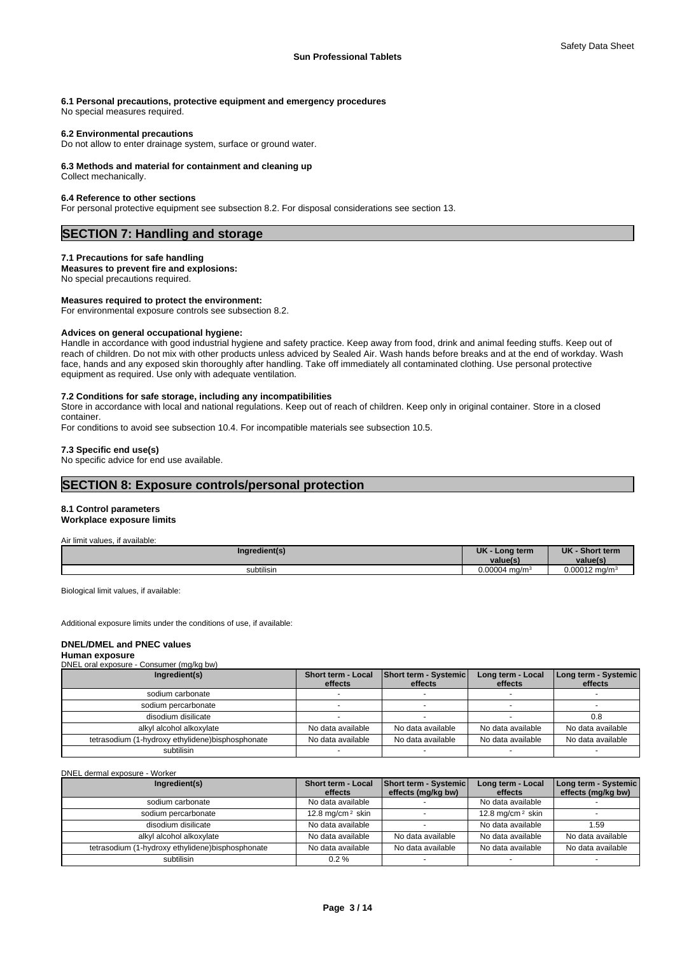### **6.1 Personal precautions, protective equipment and emergency procedures**

No special measures required.

### **6.2 Environmental precautions**

Do not allow to enter drainage system, surface or ground water.

### **6.3 Methods and material for containment and cleaning up**

Collect mechanically.

#### **6.4 Reference to other sections**

For personal protective equipment see subsection 8.2. For disposal considerations see section 13.

## **SECTION 7: Handling and storage**

### **7.1 Precautions for safe handling**

**Measures to prevent fire and explosions:**

No special precautions required.

#### **Measures required to protect the environment:**

For environmental exposure controls see subsection 8.2.

### **Advices on general occupational hygiene:**

Handle in accordance with good industrial hygiene and safety practice. Keep away from food, drink and animal feeding stuffs. Keep out of reach of children. Do not mix with other products unless adviced by Sealed Air. Wash hands before breaks and at the end of workday. Wash face, hands and any exposed skin thoroughly after handling. Take off immediately all contaminated clothing. Use personal protective equipment as required. Use only with adequate ventilation.

### **7.2 Conditions for safe storage, including any incompatibilities**

Store in accordance with local and national regulations. Keep out of reach of children. Keep only in original container. Store in a closed container.

For conditions to avoid see subsection 10.4. For incompatible materials see subsection 10.5.

### **7.3 Specific end use(s)**

No specific advice for end use available.

### **SECTION 8: Exposure controls/personal protection**

# **8.1 Control parameters**

# **Workplace exposure limits**

Air limit values, if available:

| Ingredient(s) | UK<br>Long term<br>value(s) | <b>UK</b><br>Short term<br>value(s) |  |
|---------------|-----------------------------|-------------------------------------|--|
| subtilisin    | $0.00004$ ma/m <sup>3</sup> | $0.00012$ ma/m <sup>3</sup>         |  |

Biological limit values, if available:

Additional exposure limits under the conditions of use, if available:

### **DNEL/DMEL and PNEC values**

### **Human exposure**

DNEL oral exposure - Consumer (mg/kg bw) **Ingredient(s) Short term - Local effects Short term - Systemic effects Long term - Local effects Long term - Systemic effects**  sodium carbonate sodium percarbonate disodium disilicate - - - 0.8 alkyl alcohol alkoxylate No data available No data available No data available No data available tetrasodium (1-hydroxy ethylidene)bisphosphonate No data available No data available No data available No data available

DNEL dermal exposure - Worker

| Ingredient(s)                                     | <b>Short term - Local</b><br>effects | <b>Short term - Systemic</b><br>effects (mg/kg bw) | Long term - Local<br>effects | Long term - Systemic  <br>effects (mg/kg bw) |
|---------------------------------------------------|--------------------------------------|----------------------------------------------------|------------------------------|----------------------------------------------|
| sodium carbonate                                  | No data available                    |                                                    | No data available            |                                              |
| sodium percarbonate                               | 12.8 mg/cm $2$ skin                  |                                                    | 12.8 mg/cm $2$ skin          |                                              |
| disodium disilicate                               | No data available                    |                                                    | No data available            | 1.59                                         |
| alkyl alcohol alkoxylate                          | No data available                    | No data available                                  | No data available            | No data available                            |
| tetrasodium (1-hydroxy ethylidene) bisphosphonate | No data available                    | No data available                                  | No data available            | No data available                            |
| subtilisin                                        | $0.2 \%$                             |                                                    |                              |                                              |

subtilisin - | - | - | - | - | - | - |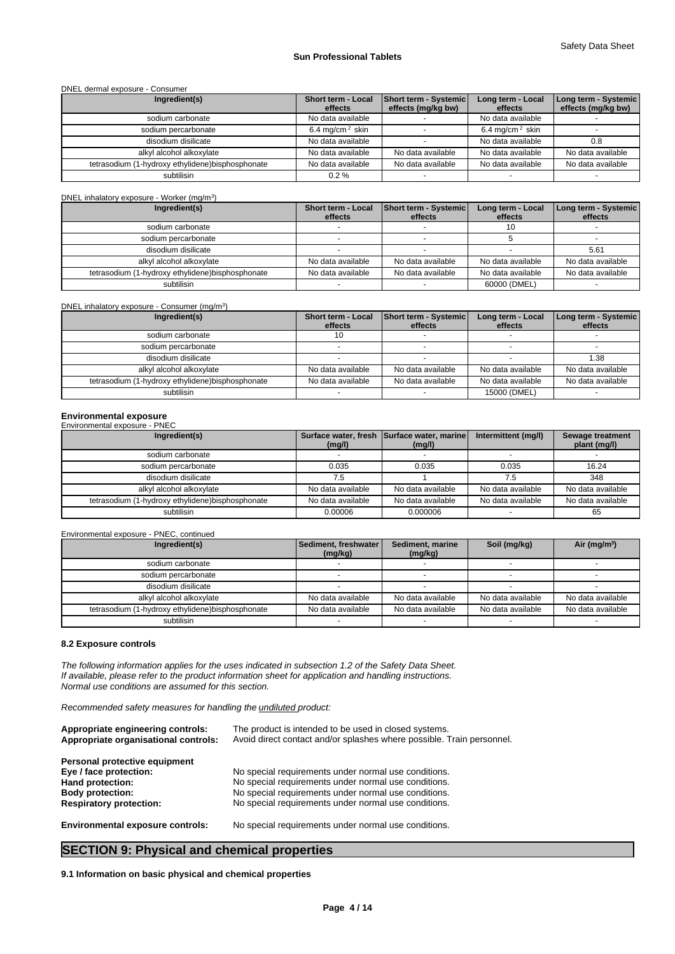### DNEL dermal exposure - Consumer

| Ingredient(s)                                     | Short term - Local<br>effects | Short term - Systemic<br>effects (mg/kg bw) | Long term - Local<br>effects | Long term - Systemic<br>effects (mg/kg bw) |
|---------------------------------------------------|-------------------------------|---------------------------------------------|------------------------------|--------------------------------------------|
| sodium carbonate                                  | No data available             |                                             | No data available            |                                            |
| sodium percarbonate                               | 6.4 mg/cm $2$ skin            |                                             | 6.4 mg/cm <sup>2</sup> skin  |                                            |
| disodium disilicate                               | No data available             |                                             | No data available            | 0.8                                        |
| alkyl alcohol alkoxylate                          | No data available             | No data available                           | No data available            | No data available                          |
| tetrasodium (1-hydroxy ethylidene) bisphosphonate | No data available             | No data available                           | No data available            | No data available                          |
| subtilisin                                        | $0.2 \%$                      |                                             |                              |                                            |

#### DNEL inhalatory exposure - Worker (mg/m<sup>3</sup> ) and  $\overline{\phantom{a}}$ **Ingredient(s) Short term - Local effects Short term - Systemic effects Long term - Local effects Long term - Systemic effects**  sodium carbonate and the state of the state of the state of the state of the state of the state of the state of the state of the state of the state of the state of the state of the state of the state of the state of the st sodium percarbonate and the state of the state of the state of the state of the state of the state of the state of the state of the state of the state of the state of the state of the state of the state of the state of the disodium disilicate and the set of the set of the set of the set of the set of the set of the set of the set of the set of the set of the set of the set of the set of the set of the set of the set of the set of the set of alkyl alcohol alkoxylate No data available No data available No data available No data available tetrasodium (1-hydroxy ethylidene)bisphosphonate No data available No data available No data available No data available subtilisin - | - | - | - | 60000 (DMEL) | - |

### DNEL inhalatory exposure - Consumer (mg/m<sup>3</sup>

| DNEL inhalatory exposure - Consumer (mg/m <sup>3</sup> ) |                               |                                  |                              |                                 |
|----------------------------------------------------------|-------------------------------|----------------------------------|------------------------------|---------------------------------|
| Ingredient(s)                                            | Short term - Local<br>effects | Short term - Systemic<br>effects | Long term - Local<br>effects | Long term - Systemic<br>effects |
| sodium carbonate                                         | 10                            |                                  |                              |                                 |
| sodium percarbonate                                      |                               |                                  |                              |                                 |
| disodium disilicate                                      |                               |                                  |                              | 1.38                            |
| alkyl alcohol alkoxylate                                 | No data available             | No data available                | No data available            | No data available               |
| tetrasodium (1-hydroxy ethylidene) bisphosphonate        | No data available             | No data available                | No data available            | No data available               |
| subtilisin                                               |                               |                                  | 15000 (DMEL)                 |                                 |

### **Environmental exposure**

#### Environmental exposure - PNEC **Ingredient(s) Surface water, fresh Surface water, marine** Intermittent (mg/l) **(mg/l) (mg/l) Intermittent (mg/l) Sewage treatment plant (mg/l)**  sodium carbonate sodium percarbonate **1.1.24** 0.035 0.035 0.035 16.24 disodium disilicate 7.5 1 7.5 348 alkyl alcohol alkoxylate No data available No data available No data available No data available tetrasodium (1-hydroxy ethylidene)bisphosphonate No data available No data available No data available No data available subtilisin 0.00006 0.000006 - 65

### Environmental exposure - PNEC, continued

| Ingredient(s)                                     | Sediment, freshwater I<br>(mg/kg) | Sediment, marine<br>(mg/kg) | Soil (mg/kg)      | Air ( $mg/m3$ )   |
|---------------------------------------------------|-----------------------------------|-----------------------------|-------------------|-------------------|
| sodium carbonate                                  |                                   |                             |                   |                   |
| sodium percarbonate                               |                                   |                             |                   |                   |
| disodium disilicate                               |                                   |                             |                   |                   |
| alkyl alcohol alkoxylate                          | No data available                 | No data available           | No data available | No data available |
| tetrasodium (1-hydroxy ethylidene) bisphosphonate | No data available                 | No data available           | No data available | No data available |
| subtilisin                                        |                                   |                             |                   |                   |

### **8.2 Exposure controls**

*The following information applies for the uses indicated in subsection 1.2 of the Safety Data Sheet. If available, please refer to the product information sheet for application and handling instructions. Normal use conditions are assumed for this section.*

*Recommended safety measures for handling the undiluted product:*

| Appropriate engineering controls:<br>Appropriate organisational controls: | The product is intended to be used in closed systems.<br>Avoid direct contact and/or splashes where possible. Train personnel. |
|---------------------------------------------------------------------------|--------------------------------------------------------------------------------------------------------------------------------|
| Personal protective equipment                                             |                                                                                                                                |
| Eye / face protection:                                                    | No special requirements under normal use conditions.                                                                           |
| Hand protection:                                                          | No special requirements under normal use conditions.                                                                           |
| <b>Body protection:</b>                                                   | No special requirements under normal use conditions.                                                                           |
| <b>Respiratory protection:</b>                                            | No special requirements under normal use conditions.                                                                           |
| <b>Environmental exposure controls:</b>                                   | No special requirements under normal use conditions.                                                                           |

# **SECTION 9: Physical and chemical properties**

**9.1 Information on basic physical and chemical properties**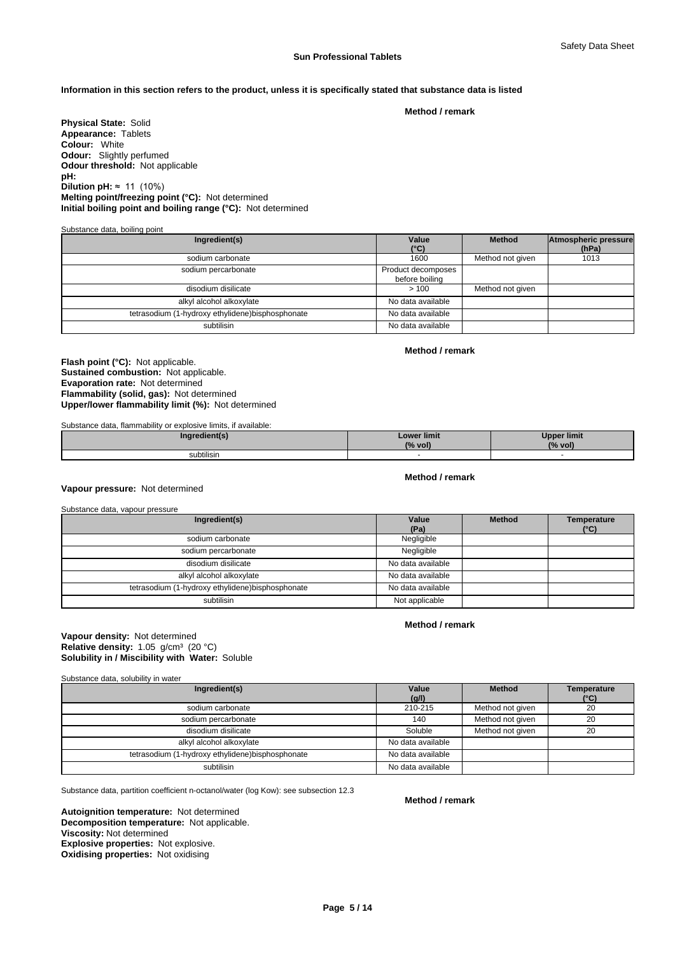### **Information in this section refers to the product, unless it is specifically stated that substance data is listed**

**Method / remark**

**Physical State:** Solid **Appearance:** Tablets **Colour:** White **Odour:** Slightly perfumed **Odour threshold:** Not applicable **pH: Dilution pH:**  $\approx$  11 (10%) **Melting point/freezing point (°C):** Not determined **Initial boiling point and boiling range (°C):** Not determined

### Substance data, boiling point

| Ingredient(s)                                     | Value<br>$(^{\circ}C)$               | <b>Method</b>    | Atmospheric pressure<br>(hPa) |
|---------------------------------------------------|--------------------------------------|------------------|-------------------------------|
| sodium carbonate                                  | 1600                                 | Method not given | 1013                          |
| sodium percarbonate                               | Product decomposes<br>before boiling |                  |                               |
| disodium disilicate                               | >100                                 | Method not given |                               |
| alkyl alcohol alkoxylate                          | No data available                    |                  |                               |
| tetrasodium (1-hydroxy ethylidene) bisphosphonate | No data available                    |                  |                               |
| subtilisin                                        | No data available                    |                  |                               |

### **Method / remark**

**Flash point (°C):** Not applicable. **Sustained combustion:** Not applicable. **Evaporation rate:** Not determined **Flammability (solid, gas):** Not determined **Upper/lower flammability limit (%):** Not determined

Substance data, flammability or explosive limits, if available:

| Inaredient(s)     | Lower limit<br>(% vol) | <b>Upper limit</b><br>$(%$ vol |
|-------------------|------------------------|--------------------------------|
| $-$<br>subtilisin |                        |                                |

### **Method / remark**

**Vapour pressure:** Not determined

| Substance data, vapour pressure                   |                   |               |                                     |
|---------------------------------------------------|-------------------|---------------|-------------------------------------|
| Ingredient(s)                                     | Value<br>(Pa)     | <b>Method</b> | <b>Temperature</b><br>$(^{\circ}C)$ |
| sodium carbonate                                  | Negligible        |               |                                     |
| sodium percarbonate                               | Negligible        |               |                                     |
| disodium disilicate                               | No data available |               |                                     |
| alkyl alcohol alkoxylate                          | No data available |               |                                     |
| tetrasodium (1-hydroxy ethylidene) bisphosphonate | No data available |               |                                     |
| subtilisin                                        | Not applicable    |               |                                     |

### **Method / remark**

### **Solubility in / Miscibility with Water:** Soluble **Vapour density:** Not determined **Relative density:** 1.05 g/cm³ (20 °C)

Substance data, solubility in water

| Ingredient(s)                                     | Value<br>(g/l)    | <b>Method</b>    | Temperature<br>$(^{\circ}C)$ |
|---------------------------------------------------|-------------------|------------------|------------------------------|
| sodium carbonate                                  | 210-215           | Method not given | 20                           |
| sodium percarbonate                               | 140               | Method not given | 20                           |
| disodium disilicate                               | Soluble           | Method not given | 20                           |
| alkyl alcohol alkoxylate                          | No data available |                  |                              |
| tetrasodium (1-hydroxy ethylidene) bisphosphonate | No data available |                  |                              |
| subtilisin                                        | No data available |                  |                              |

Substance data, partition coefficient n-octanol/water (log Kow): see subsection 12.3

**Method / remark**

**Decomposition temperature:** Not applicable. **Autoignition temperature:** Not determined **Viscosity:** Not determined **Explosive properties:** Not explosive. **Oxidising properties:** Not oxidising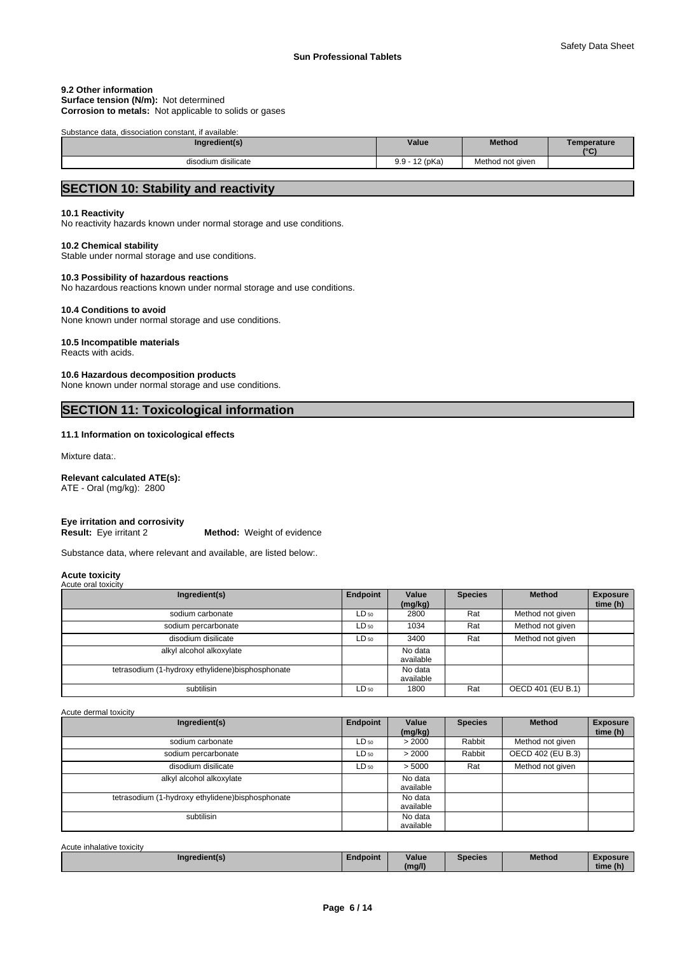# **9.2 Other information**

**Surface tension (N/m):** Not determined **Corrosion to metals:** Not applicable to solids or gases

| Substance data, dissociation constant, if available: |                  |                  |                               |  |  |  |  |
|------------------------------------------------------|------------------|------------------|-------------------------------|--|--|--|--|
| Ingredient(s)                                        | Value            | <b>Method</b>    | Temperature<br>C <sub>c</sub> |  |  |  |  |
| disodium disilicate                                  | $9.9 - 12$ (pKa) | Method not given |                               |  |  |  |  |

# **SECTION 10: Stability and reactivity**

### **10.1 Reactivity**

No reactivity hazards known under normal storage and use conditions.

### **10.2 Chemical stability**

Stable under normal storage and use conditions.

### **10.3 Possibility of hazardous reactions**

No hazardous reactions known under normal storage and use conditions.

### **10.4 Conditions to avoid**

None known under normal storage and use conditions.

### **10.5 Incompatible materials**

Reacts with acids.

### **10.6 Hazardous decomposition products**

None known under normal storage and use conditions.

# **SECTION 11: Toxicological information**

### **11.1 Information on toxicological effects**

Mixture data:.

# **Relevant calculated ATE(s):**

ATE - Oral (mg/kg): 2800

# **Eye irritation and corrosivity**

**Method:** Weight of evidence

Substance data, where relevant and available, are listed below:.

#### **Acute toxicity** Acute oral to

| $, \, \omega$ ato oran to $\pi$ oity              |           |                      |                |                   |                             |  |  |  |
|---------------------------------------------------|-----------|----------------------|----------------|-------------------|-----------------------------|--|--|--|
| Ingredient(s)                                     | Endpoint  | Value<br>(mg/kg)     | <b>Species</b> | <b>Method</b>     | <b>Exposure</b><br>time (h) |  |  |  |
| sodium carbonate                                  | $LD_{50}$ | 2800                 | Rat            | Method not given  |                             |  |  |  |
| sodium percarbonate                               | $LD_{50}$ | 1034                 | Rat            | Method not given  |                             |  |  |  |
| disodium disilicate                               | $LD_{50}$ | 3400                 | Rat            | Method not given  |                             |  |  |  |
| alkyl alcohol alkoxylate                          |           | No data<br>available |                |                   |                             |  |  |  |
| tetrasodium (1-hydroxy ethylidene) bisphosphonate |           | No data<br>available |                |                   |                             |  |  |  |
| subtilisin                                        | $LD_{50}$ | 1800                 | Rat            | OECD 401 (EU B.1) |                             |  |  |  |

Acute dermal toxicity

| Ingredient(s)                                     | Endpoint  | Value<br>(mg/kg)     | <b>Species</b> | <b>Method</b>     | <b>Exposure</b><br>time (h) |
|---------------------------------------------------|-----------|----------------------|----------------|-------------------|-----------------------------|
| sodium carbonate                                  | $LD_{50}$ | > 2000               | Rabbit         | Method not given  |                             |
| sodium percarbonate                               | $LD_{50}$ | > 2000               | Rabbit         | OECD 402 (EU B.3) |                             |
| disodium disilicate                               | $LD_{50}$ | > 5000               | Rat            | Method not given  |                             |
| alkyl alcohol alkoxylate                          |           | No data<br>available |                |                   |                             |
| tetrasodium (1-hydroxy ethylidene) bisphosphonate |           | No data              |                |                   |                             |
|                                                   |           | available            |                |                   |                             |
| subtilisin                                        |           | No data              |                |                   |                             |
|                                                   |           | available            |                |                   |                             |

| Acute inhalative toxicity |          |        |         |        |          |
|---------------------------|----------|--------|---------|--------|----------|
| Ingredient(s)             | Endpoint | Value  | Species | Method | Exposure |
|                           |          | (mg/l) |         |        | time (h) |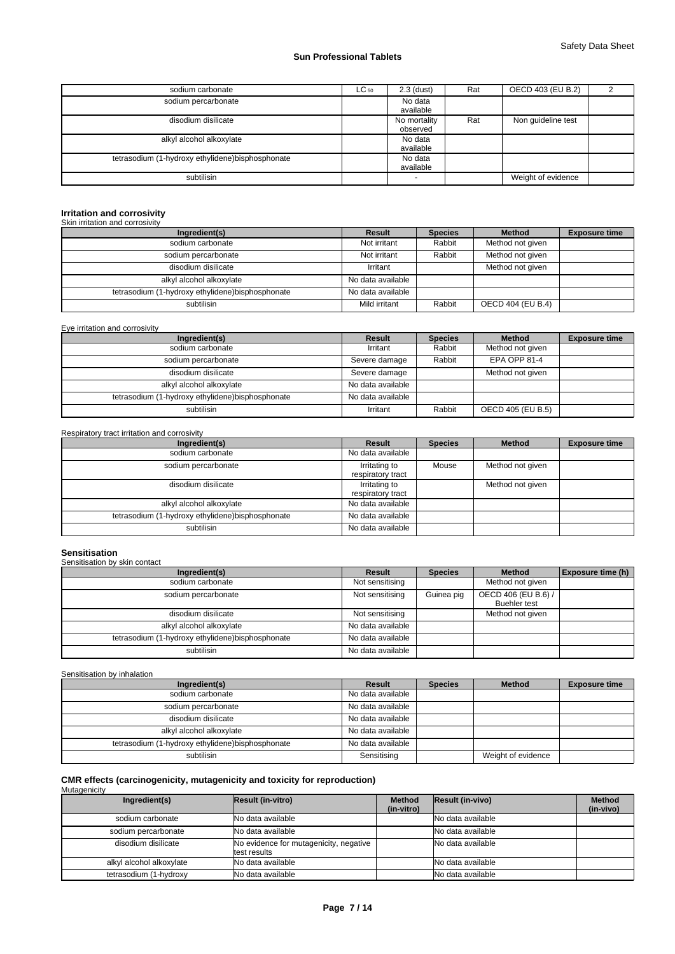| sodium carbonate                                  | $LC_{50}$ | $2.3$ (dust) | Rat | OECD 403 (EU B.2)  |  |
|---------------------------------------------------|-----------|--------------|-----|--------------------|--|
| sodium percarbonate                               |           | No data      |     |                    |  |
|                                                   |           | available    |     |                    |  |
| disodium disilicate                               |           | No mortality | Rat | Non guideline test |  |
|                                                   |           | observed     |     |                    |  |
| alkyl alcohol alkoxylate                          |           | No data      |     |                    |  |
|                                                   |           | available    |     |                    |  |
| tetrasodium (1-hydroxy ethylidene) bisphosphonate |           | No data      |     |                    |  |
|                                                   |           | available    |     |                    |  |
| subtilisin                                        |           |              |     | Weight of evidence |  |

# **Irritation and corrosivity** Skin irritation and corrosivity

| Ingredient(s)                                     | Result            | <b>Species</b> | <b>Method</b>     | <b>Exposure time</b> |
|---------------------------------------------------|-------------------|----------------|-------------------|----------------------|
| sodium carbonate                                  | Not irritant      | Rabbit         | Method not given  |                      |
| sodium percarbonate                               | Not irritant      | Rabbit         | Method not given  |                      |
| disodium disilicate                               | Irritant          |                | Method not given  |                      |
| alkyl alcohol alkoxylate                          | No data available |                |                   |                      |
| tetrasodium (1-hydroxy ethylidene) bisphosphonate | No data available |                |                   |                      |
| subtilisin                                        | Mild irritant     | Rabbit         | OECD 404 (EU B.4) |                      |

Eye irritation and corrosivity

| Ingredient(s)                                     | Result            | <b>Species</b> | <b>Method</b>     | <b>Exposure time</b> |
|---------------------------------------------------|-------------------|----------------|-------------------|----------------------|
| sodium carbonate                                  | Irritant          | Rabbit         | Method not given  |                      |
| sodium percarbonate                               | Severe damage     | Rabbit         | EPA OPP 81-4      |                      |
| disodium disilicate                               | Severe damage     |                | Method not given  |                      |
| alkyl alcohol alkoxylate                          | No data available |                |                   |                      |
| tetrasodium (1-hydroxy ethylidene) bisphosphonate | No data available |                |                   |                      |
| subtilisin                                        | Irritant          | Rabbit         | OECD 405 (EU B.5) |                      |

Respiratory tract irritation and corrosivity

| Ingredient(s)                                     | Result                             | <b>Species</b> | <b>Method</b>    | <b>Exposure time</b> |
|---------------------------------------------------|------------------------------------|----------------|------------------|----------------------|
| sodium carbonate                                  | No data available                  |                |                  |                      |
| sodium percarbonate                               | Irritating to<br>respiratory tract | Mouse          | Method not given |                      |
| disodium disilicate                               | Irritating to<br>respiratory tract |                | Method not given |                      |
| alkyl alcohol alkoxylate                          | No data available                  |                |                  |                      |
| tetrasodium (1-hydroxy ethylidene) bisphosphonate | No data available                  |                |                  |                      |
| subtilisin                                        | No data available                  |                |                  |                      |

# **Sensitisation** Sensitisation by skin contact

| <b>Portomoution</b> by Simil contact              |                   |                |                                            |                   |  |  |  |  |
|---------------------------------------------------|-------------------|----------------|--------------------------------------------|-------------------|--|--|--|--|
| Ingredient(s)                                     | <b>Result</b>     | <b>Species</b> | <b>Method</b>                              | Exposure time (h) |  |  |  |  |
| sodium carbonate                                  | Not sensitising   |                | Method not given                           |                   |  |  |  |  |
| sodium percarbonate                               | Not sensitising   | Guinea pig     | OECD 406 (EU B.6) /<br><b>Buehler test</b> |                   |  |  |  |  |
| disodium disilicate                               | Not sensitising   |                | Method not given                           |                   |  |  |  |  |
| alkyl alcohol alkoxylate                          | No data available |                |                                            |                   |  |  |  |  |
| tetrasodium (1-hydroxy ethylidene) bisphosphonate | No data available |                |                                            |                   |  |  |  |  |
| subtilisin                                        | No data available |                |                                            |                   |  |  |  |  |
|                                                   |                   |                |                                            |                   |  |  |  |  |

Sensitisation by inhalation

| Ingredient(s)                                     | <b>Result</b>     | <b>Species</b> | <b>Method</b>      | <b>Exposure time</b> |
|---------------------------------------------------|-------------------|----------------|--------------------|----------------------|
| sodium carbonate                                  | No data available |                |                    |                      |
| sodium percarbonate                               | No data available |                |                    |                      |
| disodium disilicate                               | No data available |                |                    |                      |
| alkyl alcohol alkoxylate                          | No data available |                |                    |                      |
| tetrasodium (1-hydroxy ethylidene) bisphosphonate | No data available |                |                    |                      |
| subtilisin                                        | Sensitising       |                | Weight of evidence |                      |

# **CMR effects (carcinogenicity, mutagenicity and toxicity for reproduction)** Mutagenicity

| Ingredient(s)            | <b>Result (in-vitro)</b>                               | <b>Method</b><br>(in-vitro) | <b>Result (in-vivo)</b> | <b>Method</b><br>(in-vivo) |
|--------------------------|--------------------------------------------------------|-----------------------------|-------------------------|----------------------------|
| sodium carbonate         | INo data available                                     |                             | No data available       |                            |
| sodium percarbonate      | INo data available                                     |                             | No data available       |                            |
| disodium disilicate      | No evidence for mutagenicity, negative<br>test results |                             | No data available       |                            |
| alkyl alcohol alkoxylate | <b>No data available</b>                               |                             | No data available       |                            |
| tetrasodium (1-hydroxy   | <b>I</b> No data available                             |                             | No data available       |                            |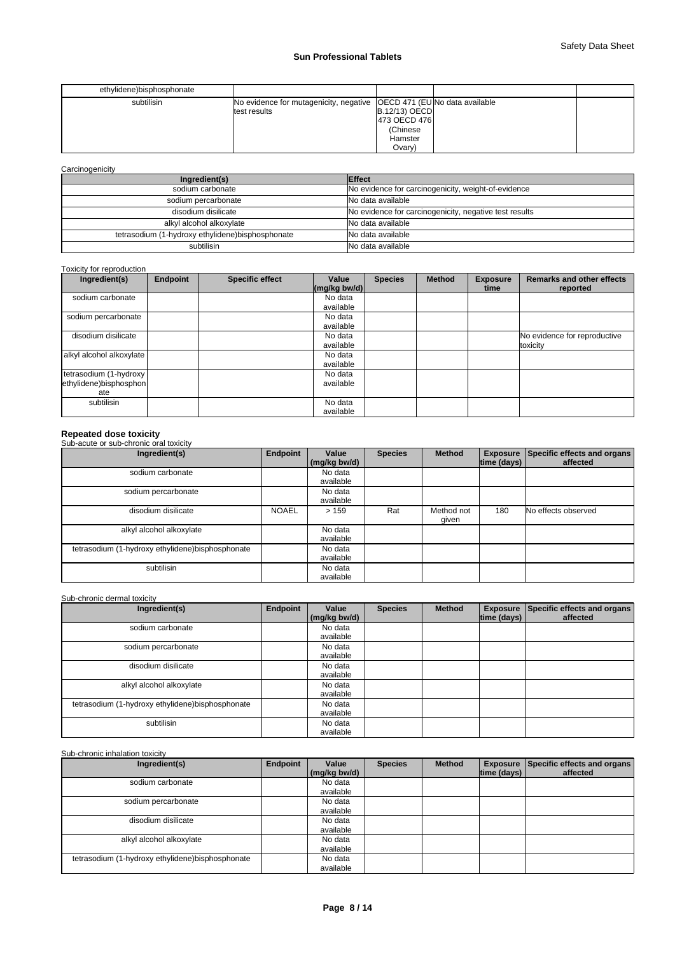| ethylidene)bisphosphonate |                                                                                         |                                                                        |  |
|---------------------------|-----------------------------------------------------------------------------------------|------------------------------------------------------------------------|--|
| subtilisin                | No evidence for mutagenicity, negative   OECD 471 (EU No data available<br>test results | <b>B.12/13) OECD</b><br>473 OECD 476<br>(Chinese)<br>Hamster<br>Ovary) |  |

**Carcinogenicity** 

| Ingredient(s)                                     | <b>Effect</b>                                          |
|---------------------------------------------------|--------------------------------------------------------|
| sodium carbonate                                  | No evidence for carcinogenicity, weight-of-evidence    |
| sodium percarbonate                               | No data available                                      |
| disodium disilicate                               | No evidence for carcinogenicity, negative test results |
| alkyl alcohol alkoxylate                          | No data available                                      |
| tetrasodium (1-hydroxy ethylidene) bisphosphonate | No data available                                      |
| subtilisin                                        | No data available                                      |

### Toxicity for reproduction

| Ingredient(s)                                            | Endpoint | <b>Specific effect</b> | Value<br>$\left \frac{\text{mg}}{\text{kg}}\right $ bw/d) | <b>Species</b> | <b>Method</b> | <b>Exposure</b><br>time | <b>Remarks and other effects</b><br>reported |
|----------------------------------------------------------|----------|------------------------|-----------------------------------------------------------|----------------|---------------|-------------------------|----------------------------------------------|
| sodium carbonate                                         |          |                        | No data<br>available                                      |                |               |                         |                                              |
| sodium percarbonate                                      |          |                        | No data<br>available                                      |                |               |                         |                                              |
| disodium disilicate                                      |          |                        | No data<br>available                                      |                |               |                         | No evidence for reproductive<br>toxicity     |
| alkyl alcohol alkoxylate                                 |          |                        | No data<br>available                                      |                |               |                         |                                              |
| tetrasodium (1-hydroxy)<br>ethylidene)bisphosphon<br>ate |          |                        | No data<br>available                                      |                |               |                         |                                              |
| subtilisin                                               |          |                        | No data<br>available                                      |                |               |                         |                                              |

**Repeated dose toxicity** Sub-acute or sub-chronic oral toxicity

| Ingredient(s)                                    | Endpoint     | Value<br>(mg/kg bw/d) | <b>Species</b> | <b>Method</b>       | $ time$ (days) $ $ | Exposure Specific effects and organs<br>affected |
|--------------------------------------------------|--------------|-----------------------|----------------|---------------------|--------------------|--------------------------------------------------|
| sodium carbonate                                 |              | No data<br>available  |                |                     |                    |                                                  |
| sodium percarbonate                              |              | No data<br>available  |                |                     |                    |                                                  |
| disodium disilicate                              | <b>NOAEL</b> | >159                  | Rat            | Method not<br>qiven | 180                | No effects observed                              |
| alkyl alcohol alkoxylate                         |              | No data<br>available  |                |                     |                    |                                                  |
| tetrasodium (1-hydroxy ethylidene)bisphosphonate |              | No data<br>available  |                |                     |                    |                                                  |
| subtilisin                                       |              | No data<br>available  |                |                     |                    |                                                  |

### Sub-chronic dermal toxicity

| Ingredient(s)                                     | Endpoint | Value<br>(mg/kg bw/d) | <b>Species</b> | Method | time (days) $ $ | Exposure Specific effects and organs<br>affected |
|---------------------------------------------------|----------|-----------------------|----------------|--------|-----------------|--------------------------------------------------|
| sodium carbonate                                  |          | No data<br>available  |                |        |                 |                                                  |
| sodium percarbonate                               |          | No data<br>available  |                |        |                 |                                                  |
| disodium disilicate                               |          | No data<br>available  |                |        |                 |                                                  |
| alkyl alcohol alkoxylate                          |          | No data<br>available  |                |        |                 |                                                  |
| tetrasodium (1-hydroxy ethylidene) bisphosphonate |          | No data<br>available  |                |        |                 |                                                  |
| subtilisin                                        |          | No data<br>available  |                |        |                 |                                                  |

### Sub-chronic inhalation toxicity

| Ingredient(s)                                     | Endpoint | Value        | <b>Species</b> | <b>Method</b> |             | Exposure Specific effects and organs |
|---------------------------------------------------|----------|--------------|----------------|---------------|-------------|--------------------------------------|
|                                                   |          | (mg/kg bw/d) |                |               | time (days) | affected                             |
| sodium carbonate                                  |          | No data      |                |               |             |                                      |
|                                                   |          | available    |                |               |             |                                      |
| sodium percarbonate                               |          | No data      |                |               |             |                                      |
|                                                   |          | available    |                |               |             |                                      |
| disodium disilicate                               |          | No data      |                |               |             |                                      |
|                                                   |          | available    |                |               |             |                                      |
| alkyl alcohol alkoxylate                          |          | No data      |                |               |             |                                      |
|                                                   |          | available    |                |               |             |                                      |
| tetrasodium (1-hydroxy ethylidene) bisphosphonate |          | No data      |                |               |             |                                      |
|                                                   |          | available    |                |               |             |                                      |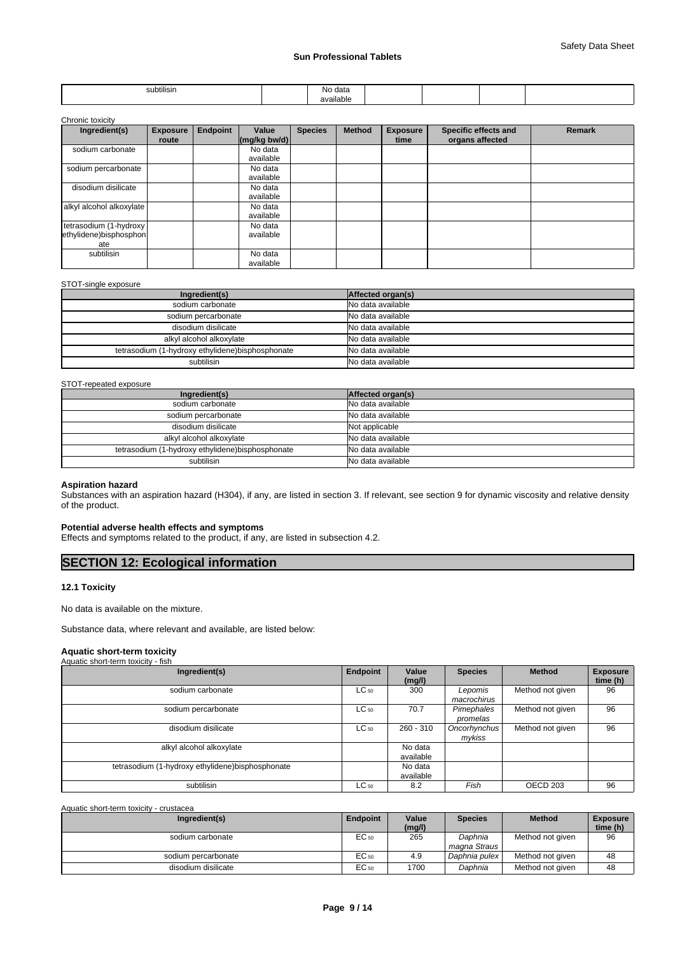| .<br>subtilisin<br>. | No data<br>.  |  |  |
|----------------------|---------------|--|--|
|                      | ava<br>ilable |  |  |

### Chronic toxicity

| Ingredient(s)                                            | <b>Exposure</b><br>route | Endpoint | Value<br>$\left \frac{\text{mg}}{\text{kg}}\right $ bw/d) | <b>Species</b> | <b>Method</b> | <b>Exposure</b><br>time | Specific effects and<br>organs affected | <b>Remark</b> |
|----------------------------------------------------------|--------------------------|----------|-----------------------------------------------------------|----------------|---------------|-------------------------|-----------------------------------------|---------------|
| sodium carbonate                                         |                          |          | No data<br>available                                      |                |               |                         |                                         |               |
| sodium percarbonate                                      |                          |          | No data<br>available                                      |                |               |                         |                                         |               |
| disodium disilicate                                      |                          |          | No data<br>available                                      |                |               |                         |                                         |               |
| alkyl alcohol alkoxylate                                 |                          |          | No data<br>available                                      |                |               |                         |                                         |               |
| tetrasodium (1-hydroxy)<br>ethylidene)bisphosphon<br>ate |                          |          | No data<br>available                                      |                |               |                         |                                         |               |
| subtilisin                                               |                          |          | No data<br>available                                      |                |               |                         |                                         |               |

### STOT-single exposure

| _ . _ . _                                         |                   |
|---------------------------------------------------|-------------------|
| Ingredient(s)                                     | Affected organ(s) |
| sodium carbonate                                  | No data available |
| sodium percarbonate                               | No data available |
| disodium disilicate                               | No data available |
| alkyl alcohol alkoxylate                          | No data available |
| tetrasodium (1-hydroxy ethylidene) bisphosphonate | No data available |
| subtilisin                                        | No data available |

### STOT-repeated exposure

| _ . _ _ _ _ _ _ _ _ _ _ _ _ _ _                   |                   |
|---------------------------------------------------|-------------------|
| Ingredient(s)                                     | Affected organ(s) |
| sodium carbonate                                  | No data available |
| sodium percarbonate                               | No data available |
| disodium disilicate                               | Not applicable    |
| alkyl alcohol alkoxylate                          | No data available |
| tetrasodium (1-hydroxy ethylidene) bisphosphonate | No data available |
| subtilisin                                        | No data available |

# **Aspiration hazard**

Substances with an aspiration hazard (H304), if any, are listed in section 3. If relevant, see section 9 for dynamic viscosity and relative density of the product.

### **Potential adverse health effects and symptoms**

Effects and symptoms related to the product, if any, are listed in subsection 4.2.

# **SECTION 12: Ecological information**

### **12.1 Toxicity**

No data is available on the mixture.

Substance data, where relevant and available, are listed below:

### **Aquatic short-term toxicity** Aquatic short-term toxicity - fish

| Ingredient(s)                                     | Endpoint  | Value<br>(mg/l)      | <b>Species</b>         | <b>Method</b>       | <b>Exposure</b><br>time (h) |
|---------------------------------------------------|-----------|----------------------|------------------------|---------------------|-----------------------------|
| sodium carbonate                                  | $LC_{50}$ | 300                  | Lepomis<br>macrochirus | Method not given    | 96                          |
| sodium percarbonate                               | $LC_{50}$ | 70.7                 | Pimephales<br>promelas | Method not given    | 96                          |
| disodium disilicate                               | $LC_{50}$ | $260 - 310$          | Oncorhynchus<br>mykiss | Method not given    | 96                          |
| alkyl alcohol alkoxylate                          |           | No data<br>available |                        |                     |                             |
| tetrasodium (1-hydroxy ethylidene) bisphosphonate |           | No data<br>available |                        |                     |                             |
| subtilisin                                        | $LC_{50}$ | 8.2                  | Fish                   | OECD <sub>203</sub> | 96                          |

### Aquatic short-term toxicity - crustacea

| Ingredient(s)       | Endpoint         | Value<br>(mg/l) | <b>Species</b>          | <b>Method</b>    | <b>Exposure</b><br>time (h) |
|---------------------|------------------|-----------------|-------------------------|------------------|-----------------------------|
| sodium carbonate    | EC <sub>50</sub> | 265             | Daphnia<br>magna Straus | Method not given | 96                          |
| sodium percarbonate | EC <sub>50</sub> | 4.9             | Daphnia pulex           | Method not given | 48                          |
| disodium disilicate | EC 50            | 1700            | Daphnia                 | Method not given | 48                          |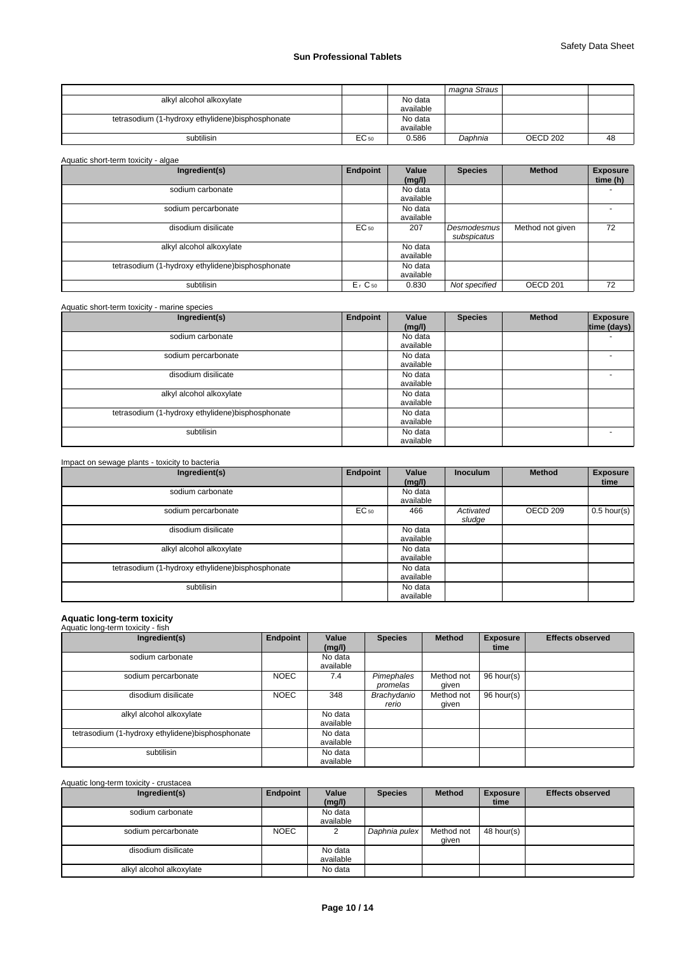|                                                  |           |           | magna Straus |                 |    |
|--------------------------------------------------|-----------|-----------|--------------|-----------------|----|
| alkyl alcohol alkoxylate                         |           | No data   |              |                 |    |
|                                                  |           | available |              |                 |    |
| tetrasodium (1-hydroxy ethylidene)bisphosphonate |           | No data   |              |                 |    |
|                                                  |           | available |              |                 |    |
| subtilisin                                       | $EC_{50}$ | 0.586     | Daphnia      | <b>OECD 202</b> | 48 |

| Ingredient(s)                                     | Endpoint  | Value<br>(mg/l)      | <b>Species</b>             | <b>Method</b>    | <b>Exposure</b><br>time (h) |
|---------------------------------------------------|-----------|----------------------|----------------------------|------------------|-----------------------------|
| sodium carbonate                                  |           | No data<br>available |                            |                  |                             |
| sodium percarbonate                               |           | No data<br>available |                            |                  |                             |
| disodium disilicate                               | EC 50     | 207                  | Desmodesmus<br>subspicatus | Method not given | 72                          |
| alkyl alcohol alkoxylate                          |           | No data<br>available |                            |                  |                             |
| tetrasodium (1-hydroxy ethylidene) bisphosphonate |           | No data<br>available |                            |                  |                             |
| subtilisin                                        | $E1$ C 50 | 0.830                | Not specified              | <b>OECD 201</b>  | 72                          |

Aquatic short-term toxicity - marine species

| Ingredient(s)                                    | <b>Endpoint</b> | Value<br>(mg/l)      | <b>Species</b> | <b>Method</b> | <b>Exposure</b><br>time (days) |
|--------------------------------------------------|-----------------|----------------------|----------------|---------------|--------------------------------|
| sodium carbonate                                 |                 | No data<br>available |                |               | $\overline{\phantom{0}}$       |
| sodium percarbonate                              |                 | No data<br>available |                |               |                                |
| disodium disilicate                              |                 | No data<br>available |                |               |                                |
| alkyl alcohol alkoxylate                         |                 | No data<br>available |                |               |                                |
| tetrasodium (1-hydroxy ethylidene)bisphosphonate |                 | No data<br>available |                |               |                                |
| subtilisin                                       |                 | No data<br>available |                |               | ۰                              |

### Impact on sewage plants - toxicity to bacteria

| Ingredient(s)                                     | Endpoint | Value<br>(mg/l)      | <b>Inoculum</b>     | <b>Method</b> | <b>Exposure</b><br>time |
|---------------------------------------------------|----------|----------------------|---------------------|---------------|-------------------------|
| sodium carbonate                                  |          | No data<br>available |                     |               |                         |
| sodium percarbonate                               | EC 50    | 466                  | Activated<br>sludge | OECD 209      | $0.5$ hour(s)           |
| disodium disilicate                               |          | No data<br>available |                     |               |                         |
| alkyl alcohol alkoxylate                          |          | No data<br>available |                     |               |                         |
| tetrasodium (1-hydroxy ethylidene) bisphosphonate |          | No data<br>available |                     |               |                         |
| subtilisin                                        |          | No data<br>available |                     |               |                         |

# **Aquatic long-term toxicity** Aquatic long-term toxicity - fish

| Ingredient(s)                                     | Endpoint    | Value                | <b>Species</b>         | <b>Method</b>       | <b>Exposure</b> | <b>Effects observed</b> |
|---------------------------------------------------|-------------|----------------------|------------------------|---------------------|-----------------|-------------------------|
|                                                   |             | (mg/l)               |                        |                     | time            |                         |
| sodium carbonate                                  |             | No data<br>available |                        |                     |                 |                         |
| sodium percarbonate                               | <b>NOEC</b> | 7.4                  | Pimephales<br>promelas | Method not<br>qiven | 96 hour(s)      |                         |
| disodium disilicate                               | <b>NOEC</b> | 348                  | Brachydanio<br>rerio   | Method not<br>qiven | 96 hour(s)      |                         |
| alkyl alcohol alkoxylate                          |             | No data<br>available |                        |                     |                 |                         |
| tetrasodium (1-hydroxy ethylidene) bisphosphonate |             | No data<br>available |                        |                     |                 |                         |
| subtilisin                                        |             | No data<br>available |                        |                     |                 |                         |

## Aquatic long-term toxicity - crustacea

| Ingredient(s)            | Endpoint    | Value     | <b>Species</b> | <b>Method</b> | <b>Exposure</b> | <b>Effects observed</b> |
|--------------------------|-------------|-----------|----------------|---------------|-----------------|-------------------------|
|                          |             | (mg/l)    |                |               | time            |                         |
| sodium carbonate         |             | No data   |                |               |                 |                         |
|                          |             | available |                |               |                 |                         |
| sodium percarbonate      | <b>NOEC</b> |           | Daphnia pulex  | Method not    | 48 hour(s)      |                         |
|                          |             |           |                | qiven         |                 |                         |
| disodium disilicate      |             | No data   |                |               |                 |                         |
|                          |             | available |                |               |                 |                         |
| alkyl alcohol alkoxylate |             | No data   |                |               |                 |                         |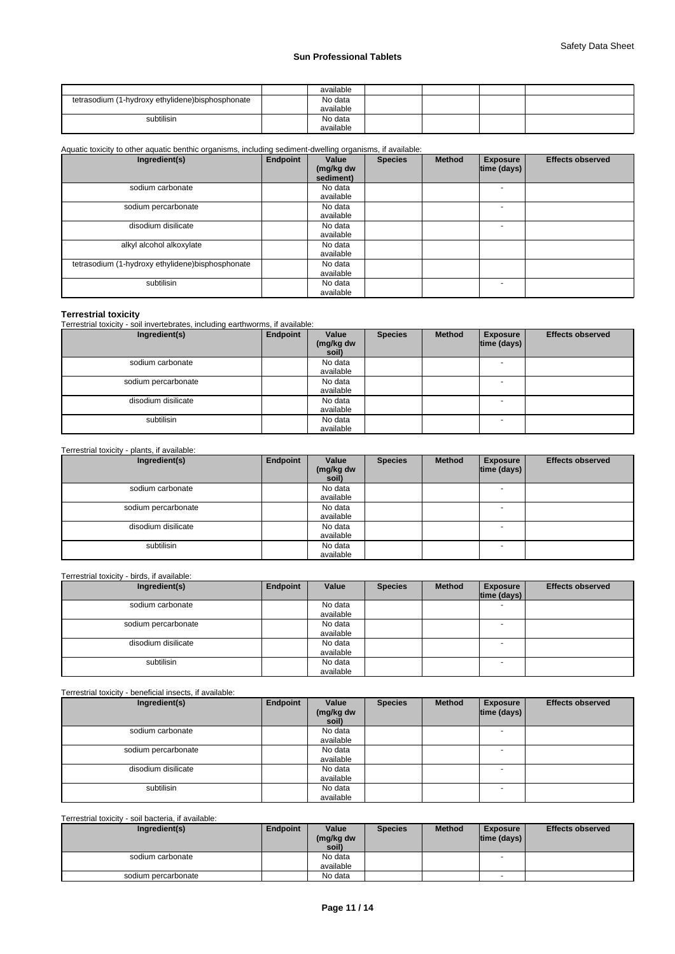|                                                   | available            |  |  |
|---------------------------------------------------|----------------------|--|--|
| tetrasodium (1-hydroxy ethylidene) bisphosphonate | No data<br>available |  |  |
| subtilisin                                        | No data<br>available |  |  |

### Aquatic toxicity to other aquatic benthic organisms, including sediment-dwelling organisms, if available:

| Ingredient(s)                                    | Endpoint | Value<br>(mg/kg dw<br>sediment) | <b>Species</b> | <b>Method</b> | <b>Exposure</b><br>time (days) | <b>Effects observed</b> |
|--------------------------------------------------|----------|---------------------------------|----------------|---------------|--------------------------------|-------------------------|
| sodium carbonate                                 |          | No data<br>available            |                |               |                                |                         |
| sodium percarbonate                              |          | No data<br>available            |                |               |                                |                         |
| disodium disilicate                              |          | No data<br>available            |                |               |                                |                         |
| alkyl alcohol alkoxylate                         |          | No data<br>available            |                |               |                                |                         |
| tetrasodium (1-hydroxy ethylidene)bisphosphonate |          | No data<br>available            |                |               |                                |                         |
| subtilisin                                       |          | No data<br>available            |                |               |                                |                         |

**Terrestrial toxicity** Terrestrial toxicity - soil invertebrates, including earthworms, if available:

| Ingredient(s)       | Endpoint | Value<br>(mg/kg dw<br>soil) | <b>Species</b> | <b>Method</b> | <b>Exposure</b><br>time (days) $ $ | <b>Effects observed</b> |
|---------------------|----------|-----------------------------|----------------|---------------|------------------------------------|-------------------------|
| sodium carbonate    |          | No data<br>available        |                |               | <b>.</b>                           |                         |
| sodium percarbonate |          | No data<br>available        |                |               | - -                                |                         |
| disodium disilicate |          | No data<br>available        |                |               |                                    |                         |
| subtilisin          |          | No data<br>available        |                |               |                                    |                         |

### Terrestrial toxicity - plants, if available:

| Ingredient(s)       | Endpoint | Value<br>(mg/kg dw<br>soil) | <b>Species</b> | <b>Method</b> | <b>Exposure</b><br> time (days) | <b>Effects observed</b> |
|---------------------|----------|-----------------------------|----------------|---------------|---------------------------------|-------------------------|
| sodium carbonate    |          | No data<br>available        |                |               | $\overline{\phantom{a}}$        |                         |
| sodium percarbonate |          | No data<br>available        |                |               | <b>.</b>                        |                         |
| disodium disilicate |          | No data<br>available        |                |               |                                 |                         |
| subtilisin          |          | No data<br>available        |                |               | $\overline{\phantom{a}}$        |                         |

### Terrestrial toxicity - birds, if available:

| Ingredient(s)       | Endpoint | Value                | <b>Species</b> | <b>Method</b> | <b>Exposure</b><br>$ time$ (days) $ $ | <b>Effects observed</b> |
|---------------------|----------|----------------------|----------------|---------------|---------------------------------------|-------------------------|
| sodium carbonate    |          | No data<br>available |                |               |                                       |                         |
| sodium percarbonate |          | No data<br>available |                |               | <b>1</b>                              |                         |
| disodium disilicate |          | No data<br>available |                |               |                                       |                         |
| subtilisin          |          | No data<br>available |                |               | - 11                                  |                         |

Terrestrial toxicity - beneficial insects, if available:

| Ingredient(s)       | Endpoint | Value<br>(mg/kg dw<br>soil) | <b>Species</b> | <b>Method</b> | <b>Exposure</b><br> time (days) | <b>Effects observed</b> |
|---------------------|----------|-----------------------------|----------------|---------------|---------------------------------|-------------------------|
| sodium carbonate    |          | No data                     |                |               |                                 |                         |
|                     |          | available                   |                |               |                                 |                         |
| sodium percarbonate |          | No data                     |                |               |                                 |                         |
|                     |          | available                   |                |               |                                 |                         |
| disodium disilicate |          | No data                     |                |               |                                 |                         |
|                     |          | available                   |                |               |                                 |                         |
| subtilisin          |          | No data                     |                |               | $\overline{\phantom{a}}$        |                         |
|                     |          | available                   |                |               |                                 |                         |

### Terrestrial toxicity - soil bacteria, if available:

| Ingredient(s)       | Endpoint | Value<br>(mg/kg dw<br>soil) | <b>Species</b> | <b>Method</b> | <b>Exposure</b><br> time (days) | <b>Effects observed</b> |
|---------------------|----------|-----------------------------|----------------|---------------|---------------------------------|-------------------------|
| sodium carbonate    |          | No data<br>available        |                |               |                                 |                         |
| sodium percarbonate |          | No data                     |                |               | -                               |                         |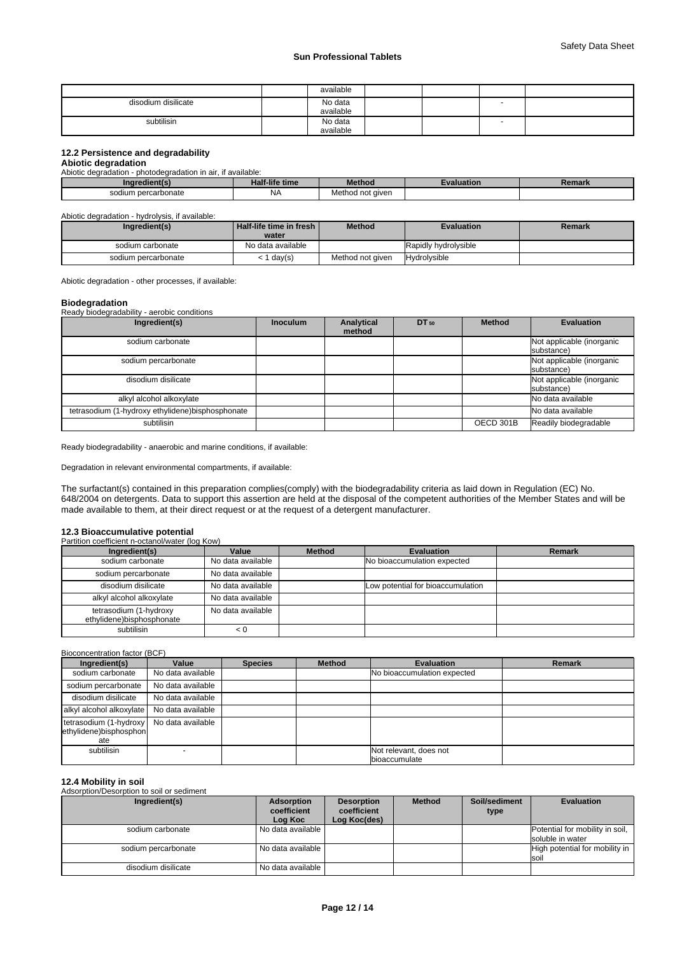|                     | available |  |  |
|---------------------|-----------|--|--|
| disodium disilicate | No data   |  |  |
|                     | available |  |  |
| subtilisin          | No data   |  |  |
|                     | available |  |  |

### **12.2 Persistence and degradability**

## **Abiotic degradation**

Abiotic degradation - photodegradation in air, if available:

| Indredient(s)       | Half-life time | <b>Aethod</b>    | valuation. | Remark |
|---------------------|----------------|------------------|------------|--------|
| sodium percarbonate | NA.            | Method not aiven |            |        |

Abiotic degradation - hydrolysis, if available:

| Ingredient(s)       | l Half-life time in fresh<br>water | <b>Method</b>    | <b>Evaluation</b>    | Remark |
|---------------------|------------------------------------|------------------|----------------------|--------|
| sodium carbonate    | No data available                  |                  | Rapidly hydrolysible |        |
| sodium percarbonate | day(s)                             | Method not given | <b>Hydrolysible</b>  |        |

Abiotic degradation - other processes, if available:

### **Biodegradation**

Ready biodegradability - aerobic conditions

| Ingredient(s)                                     | <b>Inoculum</b> | Analytical<br>method | DT 50 | <b>Method</b> | <b>Evaluation</b>                       |
|---------------------------------------------------|-----------------|----------------------|-------|---------------|-----------------------------------------|
| sodium carbonate                                  |                 |                      |       |               | Not applicable (inorganic<br>substance) |
| sodium percarbonate                               |                 |                      |       |               | Not applicable (inorganic<br>substance) |
| disodium disilicate                               |                 |                      |       |               | Not applicable (inorganic<br>substance) |
| alkyl alcohol alkoxylate                          |                 |                      |       |               | No data available                       |
| tetrasodium (1-hydroxy ethylidene) bisphosphonate |                 |                      |       |               | No data available                       |
| subtilisin                                        |                 |                      |       | OECD 301B     | Readily biodegradable                   |

Ready biodegradability - anaerobic and marine conditions, if available:

Degradation in relevant environmental compartments, if available:

The surfactant(s) contained in this preparation complies(comply) with the biodegradability criteria as laid down in Regulation (EC) No. 648/2004 on detergents. Data to support this assertion are held at the disposal of the competent authorities of the Member States and will be made available to them, at their direct request or at the request of a detergent manufacturer.

# **12.3 Bioaccumulative potential**<br>Partition coefficient n-octanol/water (log Kow)

| Ingredient(s)                                       | Value             | <b>Method</b> | Evaluation                        | <b>Remark</b> |
|-----------------------------------------------------|-------------------|---------------|-----------------------------------|---------------|
| sodium carbonate                                    | No data available |               | No bioaccumulation expected       |               |
| sodium percarbonate                                 | No data available |               |                                   |               |
| disodium disilicate                                 | No data available |               | Low potential for bioaccumulation |               |
| alkyl alcohol alkoxylate                            | No data available |               |                                   |               |
| tetrasodium (1-hydroxy<br>ethylidene)bisphosphonate | No data available |               |                                   |               |
| subtilisin                                          | < 0               |               |                                   |               |

Bioconcentration factor (BCF)

| Ingredient(s)                                           | Value             | <b>Species</b> | <b>Method</b> | <b>Evaluation</b>                              | Remark |
|---------------------------------------------------------|-------------------|----------------|---------------|------------------------------------------------|--------|
| sodium carbonate                                        | No data available |                |               | No bioaccumulation expected                    |        |
| sodium percarbonate                                     | No data available |                |               |                                                |        |
| disodium disilicate                                     | No data available |                |               |                                                |        |
| alkyl alcohol alkoxylate                                | No data available |                |               |                                                |        |
| tetrasodium (1-hydroxy<br>ethylidene)bisphosphon<br>ate | No data available |                |               |                                                |        |
| subtilisin                                              |                   |                |               | Not relevant, does not<br><b>bioaccumulate</b> |        |

### **12.4 Mobility in soil**

Adsorption/Desorption to soil or sediment

| Ingredient(s)       | <b>Adsorption</b><br>coefficient<br>Log Koc | <b>Desorption</b><br>coefficient<br>Log Koc(des) | <b>Method</b> | Soil/sediment<br>type | <b>Evaluation</b>                                   |
|---------------------|---------------------------------------------|--------------------------------------------------|---------------|-----------------------|-----------------------------------------------------|
| sodium carbonate    | No data available                           |                                                  |               |                       | Potential for mobility in soil,<br>soluble in water |
| sodium percarbonate | No data available                           |                                                  |               |                       | High potential for mobility in<br><b>SOI</b>        |
| disodium disilicate | No data available                           |                                                  |               |                       |                                                     |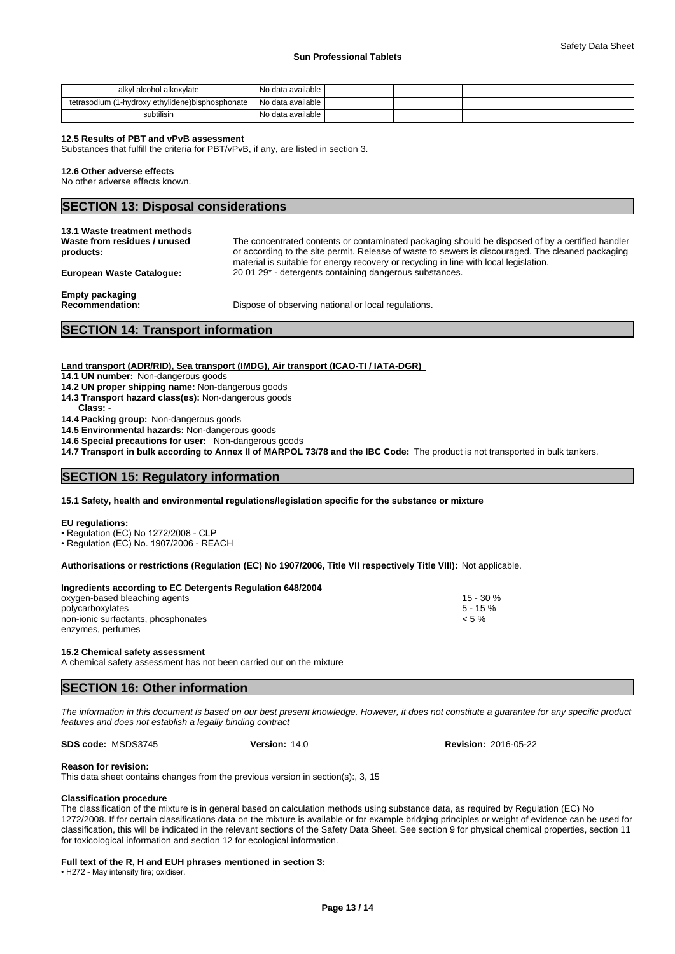| alkyl alcohol alkoxylate                          | No data available |  |  |
|---------------------------------------------------|-------------------|--|--|
| tetrasodium (1-hydroxy ethylidene) bisphosphonate | No data available |  |  |
| subtilisin                                        | No data available |  |  |

### **12.5 Results of PBT and vPvB assessment**

Substances that fulfill the criteria for PBT/vPvB, if any, are listed in section 3.

### **12.6 Other adverse effects**

No other adverse effects known.

# **SECTION 13: Disposal considerations**

| 13.1 Waste treatment methods<br>Waste from residues / unused<br>products: | The concentrated contents or contaminated packaging should be disposed of by a certified handler<br>or according to the site permit. Release of waste to sewers is discouraged. The cleaned packaging<br>material is suitable for energy recovery or recycling in line with local legislation. |
|---------------------------------------------------------------------------|------------------------------------------------------------------------------------------------------------------------------------------------------------------------------------------------------------------------------------------------------------------------------------------------|
| <b>European Waste Cataloque:</b>                                          | 20 01 29 <sup>*</sup> - detergents containing dangerous substances.                                                                                                                                                                                                                            |
| <b>Empty packaging</b><br><b>Recommendation:</b>                          | Dispose of observing national or local regulations.                                                                                                                                                                                                                                            |

### **SECTION 14: Transport information**

**Land transport (ADR/RID), Sea transport (IMDG), Air transport (ICAO-TI / IATA-DGR)** 

**14.1 UN number:** Non-dangerous goods

- **14.2 UN proper shipping name:** Non-dangerous goods
- **14.3 Transport hazard class(es):** Non-dangerous goods
- **Class:** -

**14.4 Packing group:** Non-dangerous goods

**14.5 Environmental hazards:** Non-dangerous goods

**14.6 Special precautions for user:** Non-dangerous goods

**14.7 Transport in bulk according to Annex II of MARPOL 73/78 and the IBC Code:** The product is not transported in bulk tankers.

## **SECTION 15: Regulatory information**

**15.1 Safety, health and environmental regulations/legislation specific for the substance or mixture**

#### **EU regulations:**

• Regulation (EC) No 1272/2008 - CLP

• Regulation (EC) No. 1907/2006 - REACH

**Authorisations or restrictions (Regulation (EC) No 1907/2006, Title VII respectively Title VIII):** Not applicable.

| Ingredients according to EC Detergents Regulation 648/2004 |             |
|------------------------------------------------------------|-------------|
| oxygen-based bleaching agents                              | $15 - 30%$  |
| polycarboxylates                                           | $5 - 15 \%$ |
| non-ionic surfactants, phosphonates                        | $< 5 \%$    |
| enzymes, perfumes                                          |             |

**15.2 Chemical safety assessment**

A chemical safety assessment has not been carried out on the mixture

### **SECTION 16: Other information**

*The information in this document is based on our best present knowledge. However, it does not constitute a guarantee for any specific product features and does not establish a legally binding contract*

### **SDS code:** MSDS3745 **Version:** 14.0 **Revision:** 2016-05-22

### **Reason for revision:**

This data sheet contains changes from the previous version in section(s):, 3, 15

### **Classification procedure**

The classification of the mixture is in general based on calculation methods using substance data, as required by Regulation (EC) No 1272/2008. If for certain classifications data on the mixture is available or for example bridging principles or weight of evidence can be used for classification, this will be indicated in the relevant sections of the Safety Data Sheet. See section 9 for physical chemical properties, section 11 for toxicological information and section 12 for ecological information.

### **Full text of the R, H and EUH phrases mentioned in section 3:**

• H272 - May intensify fire; oxidiser.